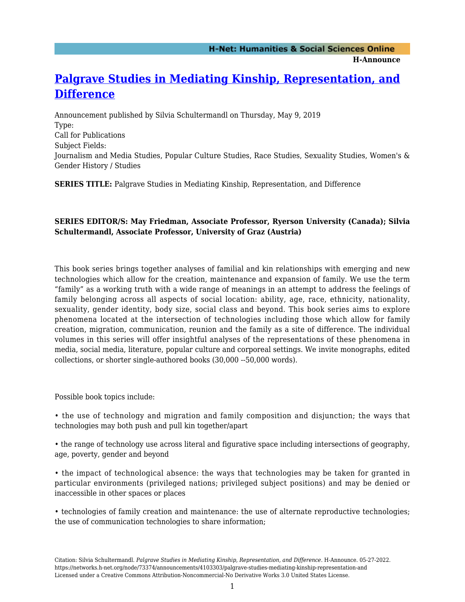**H-Announce** 

## **[Palgrave Studies in Mediating Kinship, Representation, and](https://networks.h-net.org/node/73374/announcements/4103303/palgrave-studies-mediating-kinship-representation-and) [Difference](https://networks.h-net.org/node/73374/announcements/4103303/palgrave-studies-mediating-kinship-representation-and)**

Announcement published by Silvia Schultermandl on Thursday, May 9, 2019 Type: Call for Publications Subject Fields: Journalism and Media Studies, Popular Culture Studies, Race Studies, Sexuality Studies, Women's & Gender History / Studies

**SERIES TITLE:** Palgrave Studies in Mediating Kinship, Representation, and Difference

## **SERIES EDITOR/S: May Friedman, Associate Professor, Ryerson University (Canada); Silvia Schultermandl, Associate Professor, University of Graz (Austria)**

This book series brings together analyses of familial and kin relationships with emerging and new technologies which allow for the creation, maintenance and expansion of family. We use the term "family" as a working truth with a wide range of meanings in an attempt to address the feelings of family belonging across all aspects of social location: ability, age, race, ethnicity, nationality, sexuality, gender identity, body size, social class and beyond. This book series aims to explore phenomena located at the intersection of technologies including those which allow for family creation, migration, communication, reunion and the family as a site of difference. The individual volumes in this series will offer insightful analyses of the representations of these phenomena in media, social media, literature, popular culture and corporeal settings. We invite monographs, edited collections, or shorter single-authored books (30,000 --50,000 words).

Possible book topics include:

• the use of technology and migration and family composition and disjunction; the ways that technologies may both push and pull kin together/apart

• the range of technology use across literal and figurative space including intersections of geography, age, poverty, gender and beyond

• the impact of technological absence: the ways that technologies may be taken for granted in particular environments (privileged nations; privileged subject positions) and may be denied or inaccessible in other spaces or places

• technologies of family creation and maintenance: the use of alternate reproductive technologies; the use of communication technologies to share information;